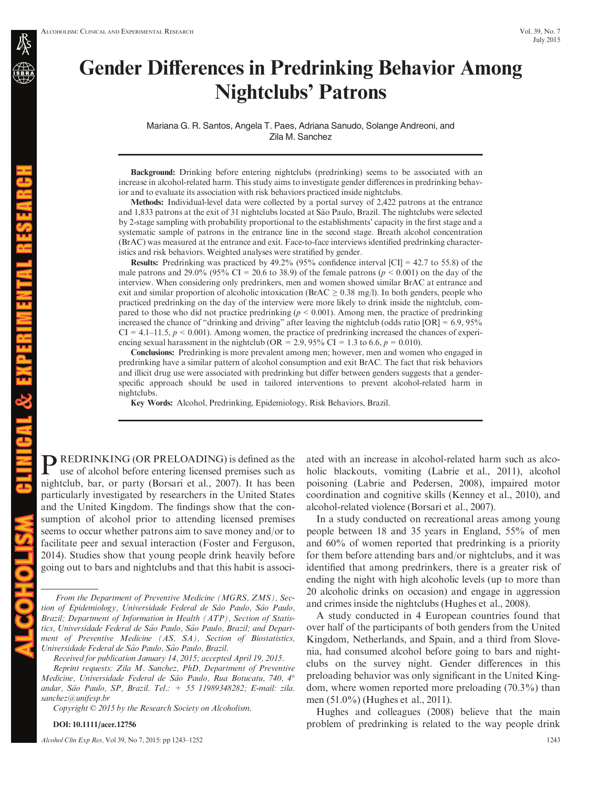# Gender Differences in Predrinking Behavior Among Nightclubs' Patrons

Mariana G. R. Santos, Angela T. Paes, Adriana Sanudo, Solange Andreoni, and Zila M. Sanchez

Background: Drinking before entering nightclubs (predrinking) seems to be associated with an increase in alcohol-related harm. This study aims to investigate gender differences in predrinking behavior and to evaluate its association with risk behaviors practiced inside nightclubs.

Methods: Individual-level data were collected by a portal survey of 2,422 patrons at the entrance and 1,833 patrons at the exit of 31 nightclubs located at São Paulo, Brazil. The nightclubs were selected by 2-stage sampling with probability proportional to the establishments' capacity in the first stage and a systematic sample of patrons in the entrance line in the second stage. Breath alcohol concentration (BrAC) was measured at the entrance and exit. Face-to-face interviews identified predrinking characteristics and risk behaviors. Weighted analyses were stratified by gender.

**Results:** Predrinking was practiced by  $49.2\%$  (95% confidence interval [CI] = 42.7 to 55.8) of the male patrons and 29.0% (95% CI = 20.6 to 38.9) of the female patrons ( $p < 0.001$ ) on the day of the interview. When considering only predrinkers, men and women showed similar BrAC at entrance and exit and similar proportion of alcoholic intoxication ( $BrAC \geq 0.38$  mg/l). In both genders, people who practiced predrinking on the day of the interview were more likely to drink inside the nightclub, compared to those who did not practice predrinking ( $p < 0.001$ ). Among men, the practice of predrinking increased the chance of "drinking and driving" after leaving the nightclub (odds ratio  $[OR] = 6.9, 95\%$  $CI = 4.1-11.5$ ,  $p < 0.001$ ). Among women, the practice of predrinking increased the chances of experiencing sexual harassment in the nightclub (OR = 2.9, 95% CI = 1.3 to 6.6,  $p = 0.010$ ).

Conclusions: Predrinking is more prevalent among men; however, men and women who engaged in predrinking have a similar pattern of alcohol consumption and exit BrAC. The fact that risk behaviors and illicit drug use were associated with predrinking but differ between genders suggests that a genderspecific approach should be used in tailored interventions to prevent alcohol-related harm in nightclubs.

Key Words: Alcohol, Predrinking, Epidemiology, Risk Behaviors, Brazil.

**P REDRINKING (OR PRELOADING)** is defined as the use of alcohol before entering licensed premises such as nightclub, bar, or party (Borsari et al., 2007). It has been particularly investigated by researchers in the United States and the United Kingdom. The findings show that the consumption of alcohol prior to attending licensed premises seems to occur whether patrons aim to save money and/or to facilitate peer and sexual interaction (Foster and Ferguson, 2014). Studies show that young people drink heavily before going out to bars and nightclubs and that this habit is associ-

Copyright © 2015 by the Research Society on Alcoholism.

DOI: 10.1111/acer.12756

Alcohol Clin Exp Res, Vol 39, No 7, 2015: pp 1243–1252 1243

ated with an increase in alcohol-related harm such as alcoholic blackouts, vomiting (Labrie et al., 2011), alcohol poisoning (Labrie and Pedersen, 2008), impaired motor coordination and cognitive skills (Kenney et al., 2010), and alcohol-related violence (Borsari et al., 2007).

In a study conducted on recreational areas among young people between 18 and 35 years in England, 55% of men and 60% of women reported that predrinking is a priority for them before attending bars and/or nightclubs, and it was identified that among predrinkers, there is a greater risk of ending the night with high alcoholic levels (up to more than 20 alcoholic drinks on occasion) and engage in aggression and crimes inside the nightclubs (Hughes et al., 2008).

A study conducted in 4 European countries found that over half of the participants of both genders from the United Kingdom, Netherlands, and Spain, and a third from Slovenia, had consumed alcohol before going to bars and nightclubs on the survey night. Gender differences in this preloading behavior was only significant in the United Kingdom, where women reported more preloading (70.3%) than men (51.0%) (Hughes et al., 2011).

Hughes and colleagues (2008) believe that the main problem of predrinking is related to the way people drink

From the Department of Preventive Medicine (MGRS, ZMS), Section of Epidemiology, Universidade Federal de São Paulo, São Paulo, Brazil; Department of Information in Health (ATP), Section of Statistics, Universidade Federal de São Paulo, São Paulo, Brazil; and Department of Preventive Medicine (AS, SA), Section of Biostatistics, Universidade Federal de São Paulo, São Paulo, Brazil.

Received for publication January 14, 2015; accepted April 19, 2015.

Reprint requests: Zila M. Sanchez, PhD, Department of Preventive Medicine, Universidade Federal de São Paulo, Rua Botucatu, 740, 4° andar, São Paulo, SP, Brazil. Tel.: + 55 11989348282; E-mail: zila. sanchez@unifesp.br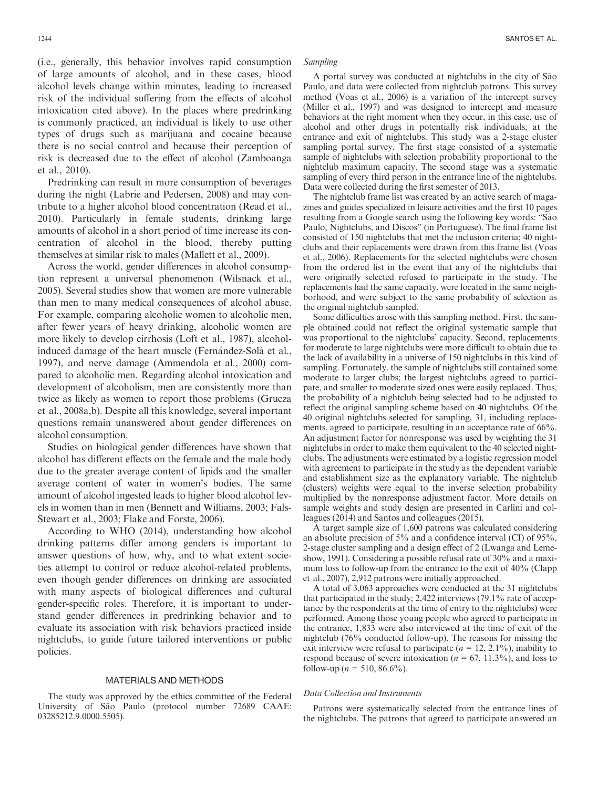(i.e., generally, this behavior involves rapid consumption of large amounts of alcohol, and in these cases, blood alcohol levels change within minutes, leading to increased risk of the individual suffering from the effects of alcohol intoxication cited above). In the places where predrinking is commonly practiced, an individual is likely to use other types of drugs such as marijuana and cocaine because there is no social control and because their perception of risk is decreased due to the effect of alcohol (Zamboanga et al., 2010).

Predrinking can result in more consumption of beverages during the night (Labrie and Pedersen, 2008) and may contribute to a higher alcohol blood concentration (Read et al., 2010). Particularly in female students, drinking large amounts of alcohol in a short period of time increase its concentration of alcohol in the blood, thereby putting themselves at similar risk to males (Mallett et al., 2009).

Across the world, gender differences in alcohol consumption represent a universal phenomenon (Wilsnack et al., 2005). Several studies show that women are more vulnerable than men to many medical consequences of alcohol abuse. For example, comparing alcoholic women to alcoholic men, after fewer years of heavy drinking, alcoholic women are more likely to develop cirrhosis (Loft et al., 1987), alcoholinduced damage of the heart muscle (Fernández-Solà et al., 1997), and nerve damage (Ammendola et al., 2000) compared to alcoholic men. Regarding alcohol intoxication and development of alcoholism, men are consistently more than twice as likely as women to report those problems (Grucza et al., 2008a,b). Despite all this knowledge, several important questions remain unanswered about gender differences on alcohol consumption.

Studies on biological gender differences have shown that alcohol has different effects on the female and the male body due to the greater average content of lipids and the smaller average content of water in women's bodies. The same amount of alcohol ingested leads to higher blood alcohol levels in women than in men (Bennett and Williams, 2003; Fals-Stewart et al., 2003; Flake and Forste, 2006).

According to WHO (2014), understanding how alcohol drinking patterns differ among genders is important to answer questions of how, why, and to what extent societies attempt to control or reduce alcohol-related problems, even though gender differences on drinking are associated with many aspects of biological differences and cultural gender-specific roles. Therefore, it is important to understand gender differences in predrinking behavior and to evaluate its association with risk behaviors practiced inside nightclubs, to guide future tailored interventions or public policies.

#### MATERIALS AND METHODS

The study was approved by the ethics committee of the Federal University of São Paulo (protocol number 72689 CAAE: 03285212.9.0000.5505).

A portal survey was conducted at nightclubs in the city of São Paulo, and data were collected from nightclub patrons. This survey method (Voas et al., 2006) is a variation of the intercept survey (Miller et al., 1997) and was designed to intercept and measure behaviors at the right moment when they occur, in this case, use of alcohol and other drugs in potentially risk individuals, at the entrance and exit of nightclubs. This study was a 2-stage cluster sampling portal survey. The first stage consisted of a systematic sample of nightclubs with selection probability proportional to the nightclub maximum capacity. The second stage was a systematic sampling of every third person in the entrance line of the nightclubs. Data were collected during the first semester of 2013.

The nightclub frame list was created by an active search of magazines and guides specialized in leisure activities and the first 10 pages resulting from a Google search using the following key words: "São Paulo, Nightclubs, and Discos" (in Portuguese). The final frame list consisted of 150 nightclubs that met the inclusion criteria; 40 nightclubs and their replacements were drawn from this frame list (Voas et al., 2006). Replacements for the selected nightclubs were chosen from the ordered list in the event that any of the nightclubs that were originally selected refused to participate in the study. The replacements had the same capacity, were located in the same neighborhood, and were subject to the same probability of selection as the original nightclub sampled.

Some difficulties arose with this sampling method. First, the sample obtained could not reflect the original systematic sample that was proportional to the nightclubs' capacity. Second, replacements for moderate to large nightclubs were more difficult to obtain due to the lack of availability in a universe of 150 nightclubs in this kind of sampling. Fortunately, the sample of nightclubs still contained some moderate to larger clubs; the largest nightclubs agreed to participate, and smaller to moderate sized ones were easily replaced. Thus, the probability of a nightclub being selected had to be adjusted to reflect the original sampling scheme based on 40 nightclubs. Of the 40 original nightclubs selected for sampling, 31, including replacements, agreed to participate, resulting in an acceptance rate of 66%. An adjustment factor for nonresponse was used by weighting the 31 nightclubs in order to make them equivalent to the 40 selected nightclubs. The adjustments were estimated by a logistic regression model with agreement to participate in the study as the dependent variable and establishment size as the explanatory variable. The nightclub (clusters) weights were equal to the inverse selection probability multiplied by the nonresponse adjustment factor. More details on sample weights and study design are presented in Carlini and colleagues (2014) and Santos and colleagues (2015).

A target sample size of 1,600 patrons was calculated considering an absolute precision of 5% and a confidence interval (CI) of 95%, 2-stage cluster sampling and a design effect of 2 (Lwanga and Lemeshow, 1991). Considering a possible refusal rate of 30% and a maximum loss to follow-up from the entrance to the exit of 40% (Clapp et al., 2007), 2,912 patrons were initially approached.

A total of 3,063 approaches were conducted at the 31 nightclubs that participated in the study; 2,422 interviews (79.1% rate of acceptance by the respondents at the time of entry to the nightclubs) were performed. Among those young people who agreed to participate in the entrance, 1,833 were also interviewed at the time of exit of the nightclub (76% conducted follow-up). The reasons for missing the exit interview were refusal to participate  $(n = 12, 2.1\%)$ , inability to respond because of severe intoxication ( $n = 67, 11.3\%$ ), and loss to follow-up ( $n = 510, 86.6\%$ ).

#### Data Collection and Instruments

Patrons were systematically selected from the entrance lines of the nightclubs. The patrons that agreed to participate answered an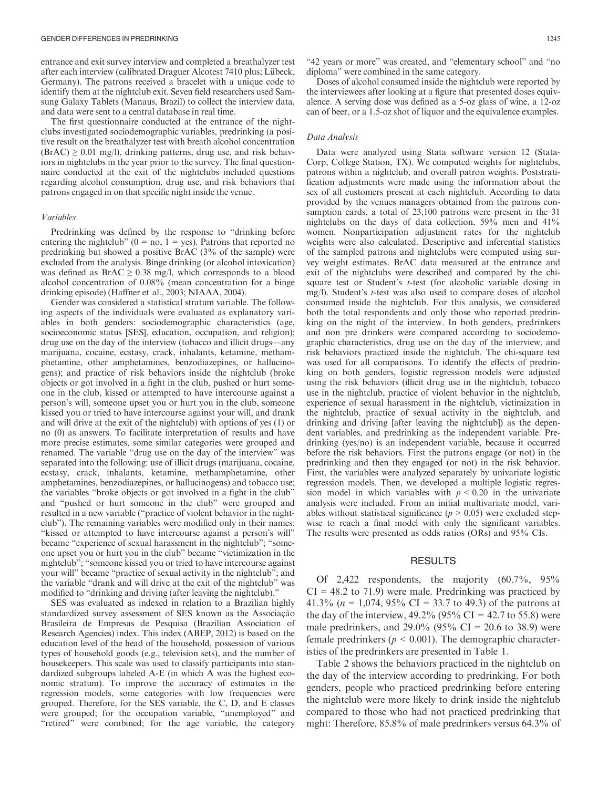entrance and exit survey interview and completed a breathalyzer test after each interview (calibrated Draguer Alcotest 7410 plus; Lübeck, Germany). The patrons received a bracelet with a unique code to identify them at the nightclub exit. Seven field researchers used Samsung Galaxy Tablets (Manaus, Brazil) to collect the interview data, and data were sent to a central database in real time.

The first questionnaire conducted at the entrance of the nightclubs investigated sociodemographic variables, predrinking (a positive result on the breathalyzer test with breath alcohol concentration  $(BrAC) \geq 0.01$  mg/l), drinking patterns, drug use, and risk behaviors in nightclubs in the year prior to the survey. The final questionnaire conducted at the exit of the nightclubs included questions regarding alcohol consumption, drug use, and risk behaviors that patrons engaged in on that specific night inside the venue.

#### Variables

Predrinking was defined by the response to "drinking before entering the nightclub" ( $0 = no$ ,  $1 = yes$ ). Patrons that reported no predrinking but showed a positive BrAC (3% of the sample) were excluded from the analysis. Binge drinking (or alcohol intoxication) was defined as  $BrAC \geq 0.38$  mg/l, which corresponds to a blood alcohol concentration of 0.08% (mean concentration for a binge drinking episode) (Haffner et al., 2003; NIAAA, 2004).

Gender was considered a statistical stratum variable. The following aspects of the individuals were evaluated as explanatory variables in both genders: sociodemographic characteristics (age, socioeconomic status [SES], education, occupation, and religion); drug use on the day of the interview (tobacco and illicit drugs—any marijuana, cocaine, ecstasy, crack, inhalants, ketamine, methamphetamine, other amphetamines, benzodiazepines, or hallucinogens); and practice of risk behaviors inside the nightclub (broke objects or got involved in a fight in the club, pushed or hurt someone in the club, kissed or attempted to have intercourse against a person's will, someone upset you or hurt you in the club, someone kissed you or tried to have intercourse against your will, and drank and will drive at the exit of the nightclub) with options of yes (1) or no (0) as answers. To facilitate interpretation of results and have more precise estimates, some similar categories were grouped and renamed. The variable "drug use on the day of the interview" was separated into the following: use of illicit drugs (marijuana, cocaine, ecstasy, crack, inhalants, ketamine, methamphetamine, other amphetamines, benzodiazepines, or hallucinogens) and tobacco use; the variables "broke objects or got involved in a fight in the club" and "pushed or hurt someone in the club" were grouped and resulted in a new variable ("practice of violent behavior in the nightclub"). The remaining variables were modified only in their names: "kissed or attempted to have intercourse against a person's will" became "experience of sexual harassment in the nightclub"; "someone upset you or hurt you in the club" became "victimization in the nightclub"; "someone kissed you or tried to have intercourse against your will" became "practice of sexual activity in the nightclub"; and the variable "drank and will drive at the exit of the nightclub" was modified to "drinking and driving (after leaving the nightclub)."

SES was evaluated as indexed in relation to a Brazilian highly standardized survey assessment of SES known as the Associação Brasileira de Empresas de Pesquisa (Brazilian Association of Research Agencies) index. This index (ABEP, 2012) is based on the education level of the head of the household, possession of various types of household goods (e.g., television sets), and the number of housekeepers. This scale was used to classify participants into standardized subgroups labeled A-E (in which A was the highest economic stratum). To improve the accuracy of estimates in the regression models, some categories with low frequencies were grouped. Therefore, for the SES variable, the C, D, and E classes were grouped; for the occupation variable, "unemployed" and "retired" were combined; for the age variable, the category

"42 years or more" was created, and "elementary school" and "no diploma" were combined in the same category.

Doses of alcohol consumed inside the nightclub were reported by the interviewees after looking at a figure that presented doses equivalence. A serving dose was defined as a 5-oz glass of wine, a 12-oz can of beer, or a 1.5-oz shot of liquor and the equivalence examples.

#### Data Analysis

Data were analyzed using Stata software version 12 (Stata-Corp, College Station, TX). We computed weights for nightclubs, patrons within a nightclub, and overall patron weights. Poststratification adjustments were made using the information about the sex of all customers present at each nightclub. According to data provided by the venues managers obtained from the patrons consumption cards, a total of 23,100 patrons were present in the 31 nightclubs on the days of data collection, 59% men and 41% women. Nonparticipation adjustment rates for the nightclub weights were also calculated. Descriptive and inferential statistics of the sampled patrons and nightclubs were computed using survey weight estimates. BrAC data measured at the entrance and exit of the nightclubs were described and compared by the chisquare test or Student's *t*-test (for alcoholic variable dosing in mg/l). Student's t-test was also used to compare doses of alcohol consumed inside the nightclub. For this analysis, we considered both the total respondents and only those who reported predrinking on the night of the interview. In both genders, predrinkers and non pre drinkers were compared according to sociodemographic characteristics, drug use on the day of the interview, and risk behaviors practiced inside the nightclub. The chi-square test was used for all comparisons. To identify the effects of predrinking on both genders, logistic regression models were adjusted using the risk behaviors (illicit drug use in the nightclub, tobacco use in the nightclub, practice of violent behavior in the nightclub, experience of sexual harassment in the nightclub, victimization in the nightclub, practice of sexual activity in the nightclub, and drinking and driving [after leaving the nightclub]) as the dependent variables, and predrinking as the independent variable. Predrinking (yes/no) is an independent variable, because it occurred before the risk behaviors. First the patrons engage (or not) in the predrinking and then they engaged (or not) in the risk behavior. First, the variables were analyzed separately by univariate logistic regression models. Then, we developed a multiple logistic regression model in which variables with  $p < 0.20$  in the univariate analysis were included. From an initial multivariate model, variables without statistical significance ( $p > 0.05$ ) were excluded stepwise to reach a final model with only the significant variables. The results were presented as odds ratios (ORs) and 95% CIs.

#### RESULTS

Of 2,422 respondents, the majority (60.7%, 95%  $CI = 48.2$  to 71.9) were male. Predrinking was practiced by 41.3% ( $n = 1.074$ , 95% CI = 33.7 to 49.3) of the patrons at the day of the interview, 49.2% (95% CI = 42.7 to 55.8) were male predrinkers, and  $29.0\%$  (95% CI = 20.6 to 38.9) were female predrinkers ( $p \le 0.001$ ). The demographic characteristics of the predrinkers are presented in Table 1.

Table 2 shows the behaviors practiced in the nightclub on the day of the interview according to predrinking. For both genders, people who practiced predrinking before entering the nightclub were more likely to drink inside the nightclub compared to those who had not practiced predrinking that night: Therefore, 85.8% of male predrinkers versus 64.3% of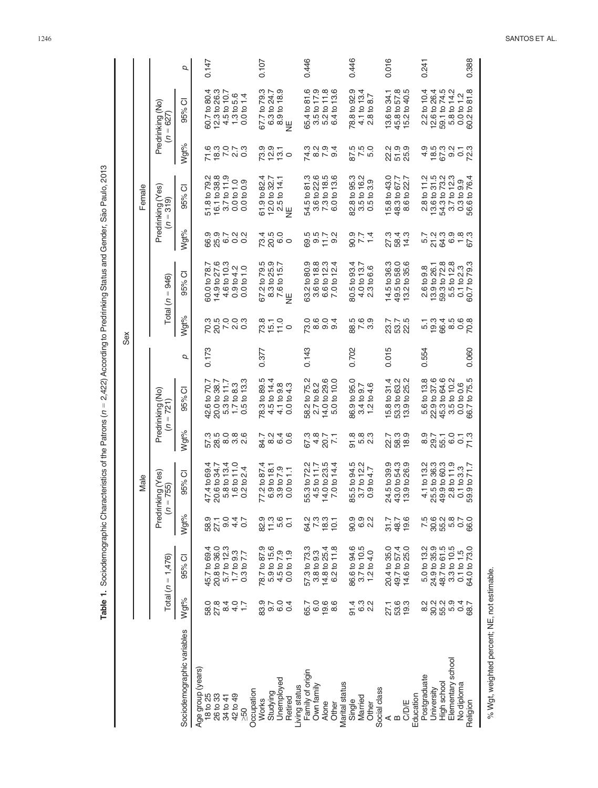| ۱                        |
|--------------------------|
| Ξ                        |
| I                        |
|                          |
|                          |
|                          |
|                          |
|                          |
|                          |
|                          |
|                          |
|                          |
|                          |
| I                        |
|                          |
|                          |
| ׇ֚֓֡                     |
|                          |
|                          |
| l<br>II                  |
| ١                        |
| l                        |
|                          |
| $\overline{\phantom{a}}$ |
|                          |
|                          |
|                          |
|                          |
|                          |
| İ                        |
|                          |
|                          |
|                          |
| ì                        |
| ֚֕֡֡֡֡֡֡֡                |
| l                        |
|                          |
| Ó<br>i<br>ì              |
| l                        |

|                                                                                     |                                                |                                                                          |                                  |                                                                                                        |                         |                                                                                                                           |          | Sex                                      |                                                                                                       |                             |                                                                                                                                                 |                          |                                                                                                                                                                                                                                                                                                                                                                                                                                          |       |
|-------------------------------------------------------------------------------------|------------------------------------------------|--------------------------------------------------------------------------|----------------------------------|--------------------------------------------------------------------------------------------------------|-------------------------|---------------------------------------------------------------------------------------------------------------------------|----------|------------------------------------------|-------------------------------------------------------------------------------------------------------|-----------------------------|-------------------------------------------------------------------------------------------------------------------------------------------------|--------------------------|------------------------------------------------------------------------------------------------------------------------------------------------------------------------------------------------------------------------------------------------------------------------------------------------------------------------------------------------------------------------------------------------------------------------------------------|-------|
|                                                                                     |                                                |                                                                          |                                  | Male                                                                                                   |                         |                                                                                                                           |          |                                          |                                                                                                       |                             | Female                                                                                                                                          |                          |                                                                                                                                                                                                                                                                                                                                                                                                                                          |       |
|                                                                                     |                                                | Total $(n = 1,476)$                                                      | $\epsilon$                       | Predrinking (Yes)<br>755)<br>$\mathbf{I}$                                                              | S                       | Predrinking (No)<br>721)<br>.<br>II                                                                                       |          | Total (n                                 | 946)<br>$\mid \mid$                                                                                   |                             | Predrinking (Yes)<br>(n = 319)                                                                                                                  | S                        | Predrinking (No)<br>627)<br>$\parallel$                                                                                                                                                                                                                                                                                                                                                                                                  |       |
| Sociodemographic variables                                                          | Wgt%                                           | ō<br>95%                                                                 | Wgt%                             | ਠ<br>95%                                                                                               | Wgt%                    | 95% CI                                                                                                                    | $\sigma$ | Wgt%                                     | 95% CI                                                                                                | Wgt%                        | ਠ<br>95%                                                                                                                                        | Wgt%                     | ō<br>95%                                                                                                                                                                                                                                                                                                                                                                                                                                 | σ     |
| Age group (years)<br>18 to 25<br>26 to 33<br>42 to 49<br>34 to 41<br>$\frac{50}{2}$ | 58.0<br>27.8<br>$\frac{4}{4}$ or $\frac{1}{2}$ | 45.7 to 69.4<br>20.8 to 36.0<br>5.7 to 12.3<br>1.7 to 9.3<br>0.3 to 7.7  | $0.40$<br>$0.40$<br>58.9<br>27.1 | 13.4<br>4<br>34.7<br>$\frac{11.0}{2.4}$<br>69.<br>47.4 to<br>20.6 to:<br>5.8 to:<br>0.2 to:<br>0.2 to: |                         | 13.3<br>11.7<br>70.7<br>38.7<br>8.3<br>20.0 to:<br>5.3 to 1<br>1.7 to 8<br>0.5 to 1<br>42.6 to                            | 0.173    | R g r a o<br>a in o o a                  | 60.0 to 78.7<br>14.9 to 27.6<br>4.6 to 10.3<br>0.9 to 4.2<br>0.0 to 1.0                               | o.o.r. o.o.<br>88 8 9 9 9 9 | 2<br>6<br>8<br>2<br>5<br>2<br>5<br>2<br>$\frac{0}{10}$<br>$\begin{array}{c} 1616 \\ 376 \\ 0.06 \\ 0.06 \\ \end{array}$<br>$\mathsf{Q}$<br>51.8 | carara<br>Farao          | 26.3<br>80.4<br>5.4<br>$12.3 \text{ to } 4.5 \text{ to } 1.3 \text{ to } 1.3 \text{ to } 1.3 \text{ to } 1.0 \text{ to } 1.0 \text{ to } 1.0 \text{ to } 1.0 \text{ to } 1.0 \text{ to } 1.0 \text{ to } 1.0 \text{ to } 1.0 \text{ to } 1.0 \text{ to } 1.0 \text{ to } 1.0 \text{ to } 1.0 \text{ to } 1.0 \text{ to } 1.0 \text{ to } 1.0 \text{ to } 1.0 \text{ to } 1.0 \text{ to } 1.0 \text{ to } 1.0 \text{ to } 1.0$<br>60.7 to | 0.147 |
| Unemployed<br>Occupation<br>Studying<br>Retired<br><b>Works</b>                     |                                                | 78.7 to 87.9<br>5.9 to 15.6<br>4.5 to 7.9<br>0.0 to 1.9                  | 8 명 명 명<br>이 보 명 이               | 87.4<br>18.1<br>7.7<br>$77.2$ to 1<br>6.9 to 7<br>6.9 to 7<br>0.0 to 1                                 |                         | 89.5<br>14.4<br>00 m<br>01 4<br>$78.3 \text{ to } 1$<br>$4.5 \text{ to } 5$<br>$4.1 \text{ to } 5$<br>$0.0 \text{ to } 4$ | 0.377    |                                          | 5 Q U<br>67.2 to 79.5<br>8.3 to 25.9<br>7.6 to 15.7<br>7.6 to<br>NE                                   | ಗೆ ಬೆಂ<br>ಇ ಸೆ ಇಂ           | 82.7<br>32.7<br>14.1<br>61.9 to {<br>12.0 to ;<br>NE<br>NE                                                                                      | 0001<br>201010<br>201010 | -- ro 79.3<br>6.3 to 24.7<br>8.9 to 18.9<br>NE                                                                                                                                                                                                                                                                                                                                                                                           | 0.107 |
| Family of origin<br>Marital status<br>Own family<br>iving status<br>Alone<br>Other  | ဝ ဖ ဖ<br>ဖ စ္ စ<br>65.7                        | 57.3 to 73.3<br>14.8 to 25.4<br>6.2 to 11.8<br>3.8 to 9.3                | s<br>Visit<br>Visit              | 2 1 2 3 4<br>2 1 2 3 4<br>2 1 2 3 4<br>55.3 to<br>4.5 to 2<br>14.0 to 2<br>7.0 to 2                    | 8487<br>8487            | 75.2<br>58.2 to<br>2.7 to 1<br>14.0 to 1<br>5.0 to 1                                                                      | 0.143    | ၀ ဖ ဝ <del>ပ</del><br>ဂ ဖ ဝ <del>ပ</del> | 63.2 to 80.9<br>3.6 to 18.8<br>6.6 to 12.3<br>7.0 to 12.4                                             |                             | <b>00 - 100 - 100</b><br>8 2 후 효<br>$54.5$ to 1<br>$3.6$ to 1<br>$7.3$ to 1<br>$6.0$ to 1                                                       |                          | $57700$<br>$5770$<br>65.4 to 8<br>3.5 to -<br>6.4 to -<br>6.4 to -                                                                                                                                                                                                                                                                                                                                                                       | 0.446 |
| Social class<br>Married<br>Single<br>Other                                          | 91.4<br>3<br>6 2<br>6 2                        | 86.6 to 94.6<br>3.7 to 10.5<br>1.2 to 4.0                                | စစစ္ပ္က<br>၀ွိဖ္ကြဲ              | 94.7<br>12.7<br>4.7<br>85.5 to 9<br>3.7 to -<br>0.9 to -                                               | 8<br>8 8 9 9<br>8 9 9 9 | 95.0<br>$\frac{7}{9}$ $\frac{6}{4}$<br>86.9 to<br>3.4 to 1.2 to 1.                                                        | 0.702    | က်<br>ထို <i>ပ</i> ် ထိ                  | 90.5 to 93.4<br>4.0 to 13.7<br>2.3 to 6.6<br>30.5 to 93.                                              | 874<br>874                  | 95.2<br>16.9<br>3.9<br>$3.5 t0$<br>0.5 to :<br>82.8 to                                                                                          | 87.5<br>87.5             | 78.8 to 92.9<br>4.1 to 13.4<br>2.8 to 8.7<br>78.8 to                                                                                                                                                                                                                                                                                                                                                                                     | 0.446 |
| Education<br>C/D/E<br>$\leq$ $\Omega$                                               | 27.6<br>2003<br>2019                           | 20.4 to 35.0<br>14.6 to 25.0<br>49.7 to 57.4                             | $31.7$<br>$49.6$<br>$19.6$       | ರಾ ಇ.<br>೧೧ ರ<br>೧೧ ರ ೧<br>24.5 to:<br>43.0 to:<br>13.9 to:                                            | 2388<br>2388            | 30<br>302<br>302<br>$15.8$ to $15.3$ to $13.9$ to $1$                                                                     | 0.015    | ಗ ಗ<br>೧೧ ೧<br>೧೧ ೧                      | $\circ \circ$<br>58.<br>55.<br>36.<br>$14.5$ to 3<br>49.5 to 3<br>13.2 to 3                           | 21<br>2843<br>284           | 977<br>977<br>987<br>$15.8$ to $16.8$<br>48.3 to $1$<br>8.6 to $2$                                                                              | ಲೆ ಶ್ರ<br>೧೯೮೧<br>೧೯೮    | 57.8<br>40.5<br>34.1<br>$13.6$ to:<br>45.8 to:<br>15.2 to:                                                                                                                                                                                                                                                                                                                                                                               | 0.016 |
| Elementary school<br>Postgraduate<br>High school<br>No diploma<br>University        | ၀ ၀ ၀ ၀ ၀ <del>၀</del><br>၀ ၀ ၀ ၀ ၀            | 5.0 to 13.2<br>24.9 to 35.9<br>48.7 to 61.5<br>3.3 to 10.5<br>0.1 to 1.5 |                                  | 2887237<br>$\overline{\mathbf{c}}$<br>$\frac{1}{4}$                                                    |                         | 100600<br>100600<br>10060                                                                                                 | 0.554    |                                          | 13.9 to 26.1<br>59.3 to 72.8<br>5.5 to 12.8<br>9.8<br>$2.\overline{3}$<br>2.6 <sub>to</sub><br>0.1 to |                             | 15<br>2522<br>2525<br>9.9                                                                                                                       |                          | $\begin{array}{c} 2.2 \, \text{to} \, 10.4 \\ 12.6 \, \text{to} \, 26.4 \\ 59.1 \, \text{to} \, 74.5 \\ 59.1 \, \text{to} \, 74.2 \\ 59.0 \, \text{to} \, 14.2 \\ 0.0 \, \text{to} \, 1.2 \\ 0.0 \, \text{to} \, 1.2 \\ 00.2 \, \text{to} \, 81.8 \end{array}$                                                                                                                                                                           | 0.241 |
| Religion                                                                            | 58.7                                           | 54.0 to 73.0                                                             |                                  |                                                                                                        |                         | 75.5                                                                                                                      | 0.060    |                                          | 79.3<br>60.7 to                                                                                       |                             | 76.4                                                                                                                                            |                          |                                                                                                                                                                                                                                                                                                                                                                                                                                          | 0.388 |

% Wgt, weighted percent; NE, not estimable. % Wgt, weighted percent; NE, not estimable.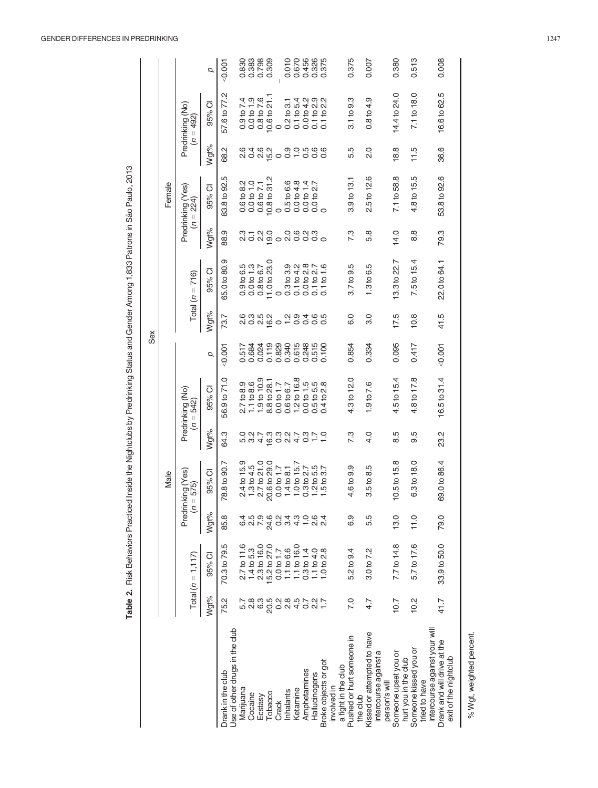| GENDER DIFFERENCES IN PREDRINKING |  |
|-----------------------------------|--|
|                                   |  |

| $\overline{\phantom{a}}$      |
|-------------------------------|
|                               |
|                               |
|                               |
|                               |
| ׇ֚֚֚֘֝֝                       |
|                               |
|                               |
|                               |
|                               |
|                               |
|                               |
|                               |
|                               |
|                               |
| $\overline{1}$                |
|                               |
| $\overline{\phantom{a}}$      |
| l                             |
| ֕<br>$\frac{1}{2}$<br>Toble : |

|                                                      |                    |                           |                       |                                     |                               |                                               |                | Sex               |                                                                                                                                   |         |                                                                                                               |                  |                                                                     |                |
|------------------------------------------------------|--------------------|---------------------------|-----------------------|-------------------------------------|-------------------------------|-----------------------------------------------|----------------|-------------------|-----------------------------------------------------------------------------------------------------------------------------------|---------|---------------------------------------------------------------------------------------------------------------|------------------|---------------------------------------------------------------------|----------------|
|                                                      |                    |                           |                       | Male                                |                               |                                               |                |                   |                                                                                                                                   |         | Female                                                                                                        |                  |                                                                     |                |
|                                                      |                    | Total $(n = 1, 117)$      | $\epsilon$<br>Predri  | inking (Yes)<br>575)<br>$\parallel$ |                               | Predrinking (No)<br>$(n = 542)$               |                |                   | Total $(n = 716)$                                                                                                                 |         | Predrinking (Yes)<br>$(n = 224)$                                                                              |                  | Predrinking (No)<br>(n = 492)                                       |                |
|                                                      | Wgt%               | 95% CI                    | Wgt%                  | 95% CI                              | Wgt%                          | 95% CI                                        | p              | Wgt%              | 95% CI                                                                                                                            | Wgt%    | 95% CI                                                                                                        | Wgt%             | 95% CI                                                              | p              |
| Use of other drugs in the club<br>Drank in the club  | 75.2               | 70.3 to 79.5              | 85.8                  | 78.8 to 90.7                        | 64.3                          | 56.9 to 71.0                                  | $-0.001$       | 73.7              | 65.0 to 80.9                                                                                                                      | 88.9    | 83.8 to 92.5                                                                                                  | 68.2             | 57.6 to 77.2                                                        | 500D           |
| Marijuana                                            | L.<br>πÒ           | 2.7 to 11.6               | 6.4                   | 2.4 to 15.9                         | nu 4 mond<br>Oni Luci di di L | 2.7 to 8.9<br>1.1 to 8.6<br>2.7 <sub>to</sub> | 0.517          | sango-oooooo      | $\begin{array}{c} 0.9\, \text{to}\, 6.5 \\ 0.0\, \text{to}\, 1.3 \\ 0.8\, \text{to}\, 6.7 \\ 11.0\, \text{to}\, 23.0 \end{array}$ |         | 0.6 to 8.2<br>0.0 to 1.0                                                                                      | sicalidad da coo | 0.9 to 7.4<br>0.0 to 1.9<br>0.0 to 21.1<br>0.2 to 3.1<br>0.2 to 3.1 | 0.830          |
| Cocaine<br>Ecstasy                                   | 8 8 9 9<br>8 9 9 8 | 2.3 to 16.0<br>1.4 to 5.3 | 25<br>27              | $1.3$ to $4.5$<br>$2.7$ to $21.0$   |                               |                                               | 0.684<br>0.024 |                   |                                                                                                                                   |         |                                                                                                               |                  |                                                                     | 0.383<br>0.798 |
| Tobacco                                              |                    | 15.2 to 27.0              | 24.6                  | 20.6 to 29.0                        |                               |                                               | 0.119          |                   |                                                                                                                                   |         | $\begin{array}{c} 0.6\,\mathrm{to}\,7.1 \\ 10.8\,\mathrm{to}\,31.2 \\ 0 \\ 0.5\,\mathrm{to}\,6.6 \end{array}$ |                  |                                                                     | 0.309          |
| Crack                                                | Ņ<br>$\circ$       | 0.0 to 1.7                | 0.2                   | 0.0 to 1.7                          |                               |                                               | 0.829          |                   | 0.310                                                                                                                             |         |                                                                                                               |                  |                                                                     |                |
| Inhalants                                            | 2.8                | 1.1 to 6.6                | 3.4                   | 1.4 to 8.1                          |                               |                                               | 0.340          |                   | თ<br>က                                                                                                                            |         |                                                                                                               |                  |                                                                     | 0.010          |
| Ketamine                                             | 4.5                | 1.1 to 16.0               | $4.\overline{3}$      | 1.0 to 15.7                         |                               |                                               | 0.615<br>0.248 |                   | 0.1 to 4.2<br>0.0 to 2.8<br>0.1 to 1.6<br>0.1 to 1.6                                                                              |         | 0.0 to 4.8                                                                                                    |                  | 0.1 to 5.4                                                          | 0.670          |
| Amphetamines                                         | 0.7                | 0.3 to 1.4                | $\overline{1}$ .0     | 0.3 to 2.7                          | $0.70$<br>$-7.0$              |                                               |                |                   |                                                                                                                                   |         | $0.0 to 1.4$<br>$0.0 to 2.7$                                                                                  |                  | $0.0$ to $4.2$<br>0.1 to $2.9$<br>0.1 to $2.2$                      | 0.456          |
| Hallucinogens                                        | 2.7                | 1.1 to 4.0                | 2<br>2<br>2<br>2<br>2 | $1.2$ to 5.5<br>1.5 to 3.7          |                               |                                               | 0.515          |                   |                                                                                                                                   |         |                                                                                                               |                  |                                                                     | 0.326          |
| Broke objects or got                                 |                    | 1.0 to 2.8                |                       |                                     |                               |                                               | 0.100          |                   |                                                                                                                                   |         |                                                                                                               |                  |                                                                     | 0.375          |
| involved in                                          |                    |                           |                       |                                     |                               |                                               |                |                   |                                                                                                                                   |         |                                                                                                               |                  |                                                                     |                |
| a fight in the club                                  |                    |                           |                       |                                     |                               |                                               |                |                   |                                                                                                                                   |         |                                                                                                               |                  |                                                                     |                |
| Pushed or hurt someone in<br>the club                | 7.0                | 5.2 to 9.4                | 6.9                   | 4.6 to 9.9                          | 7.3                           | 4.3 to 12.0                                   | 0.854          | $\overline{6}$ .0 | 3.7 to 9.5                                                                                                                        | 7.3     | 3.9 to 13.1                                                                                                   | 5.5              | 3.1 to 9.3                                                          | 0.375          |
| Kissed or attempted to have                          | 4.7                | 3.0 to 7.2                | 5.5                   | 5 to 8.5<br>က                       | 4.0                           | 1.9 to 7.6                                    | 0.334          | 3.0               | 1.3 to 6.5                                                                                                                        | 5.8     | 2.5 to 12.6                                                                                                   | $\frac{0}{2}$    | 0.8 to 4.9                                                          | 0.007          |
| ಥ<br>intercourse against<br>person's will            |                    |                           |                       |                                     |                               |                                               |                |                   |                                                                                                                                   |         |                                                                                                               |                  |                                                                     |                |
| Someone upset you or                                 | 10.7               | 7.7 to 14.8               | 13.0                  | 10.5 to 15.8                        | Ю<br>ထ                        | 4.5 to 15.4                                   | 0.095          | 17.5              | 3.3 to 22.7                                                                                                                       | 14.0    | 7.1 to 58.8                                                                                                   | 18.8             | 14.4 to 24.0                                                        | 0.380          |
| hurt you in the club                                 |                    |                           |                       |                                     |                               |                                               |                |                   |                                                                                                                                   |         |                                                                                                               |                  |                                                                     |                |
| Someone kissed you or<br>tried to have               | 10.2               | 5.7 to 17.6               | 11.0                  | 6.3 to 18.0                         | rö<br>တ                       | 4.8 to 17.8                                   | 0.417          | 10.8              | 7.5 to 15.4                                                                                                                       | ∞<br>ထံ | 4.8 to 15.5                                                                                                   | 11.5             | 7.1 to 18.0                                                         | 0.513          |
| intercourse against your will                        |                    |                           |                       |                                     |                               |                                               |                |                   |                                                                                                                                   |         |                                                                                                               |                  |                                                                     |                |
| Drank and will drive at the<br>exit of the nightclub | 41.7               | 33.9 to 50.0              | 79.0                  | 69.0 to 86.4                        | 23.2                          | 16.5 to 31.4                                  | $-0.001$       | 41.5              | 22.0 to 64.1                                                                                                                      | 79.3    | 53.8 to 92.6                                                                                                  | 36.6             | 16.6 to 62.5                                                        | 0.008          |
| % Wgt, weighted percent                              |                    |                           |                       |                                     |                               |                                               |                |                   |                                                                                                                                   |         |                                                                                                               |                  |                                                                     |                |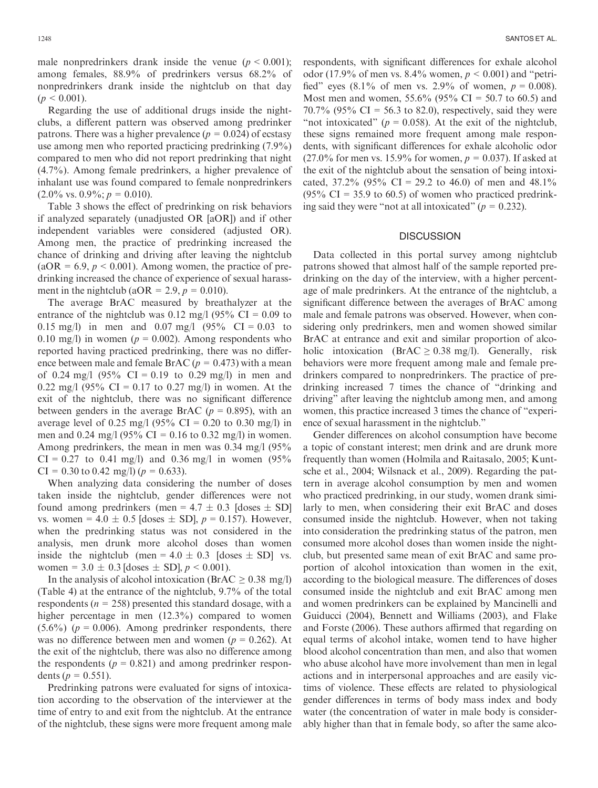male nonpredrinkers drank inside the venue ( $p < 0.001$ ); among females, 88.9% of predrinkers versus 68.2% of nonpredrinkers drank inside the nightclub on that day  $(p < 0.001)$ .

Regarding the use of additional drugs inside the nightclubs, a different pattern was observed among predrinker patrons. There was a higher prevalence ( $p = 0.024$ ) of ecstasy use among men who reported practicing predrinking (7.9%) compared to men who did not report predrinking that night (4.7%). Among female predrinkers, a higher prevalence of inhalant use was found compared to female nonpredrinkers  $(2.0\% \text{ vs. } 0.9\%; p = 0.010).$ 

Table 3 shows the effect of predrinking on risk behaviors if analyzed separately (unadjusted OR [aOR]) and if other independent variables were considered (adjusted OR). Among men, the practice of predrinking increased the chance of drinking and driving after leaving the nightclub  $(aOR = 6.9, p < 0.001)$ . Among women, the practice of predrinking increased the chance of experience of sexual harassment in the nightclub ( $aOR = 2.9$ ,  $p = 0.010$ ).

The average BrAC measured by breathalyzer at the entrance of the nightclub was 0.12 mg/l (95% CI = 0.09 to 0.15 mg/l) in men and 0.07 mg/l  $(95\% \text{ CI} = 0.03 \text{ to}$ 0.10 mg/l) in women ( $p = 0.002$ ). Among respondents who reported having practiced predrinking, there was no difference between male and female BrAC ( $p = 0.473$ ) with a mean of 0.24 mg/l  $(95\% \text{ CI} = 0.19 \text{ to } 0.29 \text{ mg/l})$  in men and 0.22 mg/l (95% CI = 0.17 to 0.27 mg/l) in women. At the exit of the nightclub, there was no significant difference between genders in the average BrAC ( $p = 0.895$ ), with an average level of 0.25 mg/l (95% CI = 0.20 to 0.30 mg/l) in men and 0.24 mg/l (95% CI = 0.16 to 0.32 mg/l) in women. Among predrinkers, the mean in men was 0.34 mg/l (95%  $CI = 0.27$  to 0.41 mg/l) and 0.36 mg/l in women (95%)  $CI = 0.30$  to 0.42 mg/l) ( $p = 0.633$ ).

When analyzing data considering the number of doses taken inside the nightclub, gender differences were not found among predrinkers (men =  $4.7 \pm 0.3$  [doses  $\pm$  SD] vs. women =  $4.0 \pm 0.5$  [doses  $\pm$  SD],  $p = 0.157$ ). However, when the predrinking status was not considered in the analysis, men drunk more alcohol doses than women inside the nightclub (men =  $4.0 \pm 0.3$  [doses  $\pm$  SD] vs. women =  $3.0 \pm 0.3$  [doses  $\pm$  SD],  $p < 0.001$ ).

In the analysis of alcohol intoxication ( $BrAC \geq 0.38$  mg/l) (Table 4) at the entrance of the nightclub, 9.7% of the total respondents ( $n = 258$ ) presented this standard dosage, with a higher percentage in men (12.3%) compared to women  $(5.6\%)$  ( $p = 0.006$ ). Among predrinker respondents, there was no difference between men and women ( $p = 0.262$ ). At the exit of the nightclub, there was also no difference among the respondents ( $p = 0.821$ ) and among predrinker respondents ( $p = 0.551$ ).

Predrinking patrons were evaluated for signs of intoxication according to the observation of the interviewer at the time of entry to and exit from the nightclub. At the entrance of the nightclub, these signs were more frequent among male

respondents, with significant differences for exhale alcohol odor (17.9% of men vs. 8.4% women,  $p < 0.001$ ) and "petrified" eyes  $(8.1\% \text{ of } \text{men } \text{vs. } 2.9\% \text{ of } \text{ women}, p = 0.008).$ Most men and women, 55.6% (95% CI = 50.7 to 60.5) and 70.7% (95% CI = 56.3 to 82.0), respectively, said they were "not intoxicated" ( $p = 0.058$ ). At the exit of the nightclub, these signs remained more frequent among male respondents, with significant differences for exhale alcoholic odor  $(27.0\%$  for men vs. 15.9% for women,  $p = 0.037$ ). If asked at the exit of the nightclub about the sensation of being intoxicated, 37.2% (95% CI = 29.2 to 46.0) of men and 48.1%  $(95\% \text{ CI} = 35.9 \text{ to } 60.5)$  of women who practiced predrinking said they were "not at all intoxicated" ( $p = 0.232$ ).

## **DISCUSSION**

Data collected in this portal survey among nightclub patrons showed that almost half of the sample reported predrinking on the day of the interview, with a higher percentage of male predrinkers. At the entrance of the nightclub, a significant difference between the averages of BrAC among male and female patrons was observed. However, when considering only predrinkers, men and women showed similar BrAC at entrance and exit and similar proportion of alcoholic intoxication (BrAC  $\geq$  0.38 mg/l). Generally, risk behaviors were more frequent among male and female predrinkers compared to nonpredrinkers. The practice of predrinking increased 7 times the chance of "drinking and driving" after leaving the nightclub among men, and among women, this practice increased 3 times the chance of "experience of sexual harassment in the nightclub."

Gender differences on alcohol consumption have become a topic of constant interest; men drink and are drunk more frequently than women (Holmila and Raitasalo, 2005; Kuntsche et al., 2004; Wilsnack et al., 2009). Regarding the pattern in average alcohol consumption by men and women who practiced predrinking, in our study, women drank similarly to men, when considering their exit BrAC and doses consumed inside the nightclub. However, when not taking into consideration the predrinking status of the patron, men consumed more alcohol doses than women inside the nightclub, but presented same mean of exit BrAC and same proportion of alcohol intoxication than women in the exit, according to the biological measure. The differences of doses consumed inside the nightclub and exit BrAC among men and women predrinkers can be explained by Mancinelli and Guiducci (2004), Bennett and Williams (2003), and Flake and Forste (2006). These authors affirmed that regarding on equal terms of alcohol intake, women tend to have higher blood alcohol concentration than men, and also that women who abuse alcohol have more involvement than men in legal actions and in interpersonal approaches and are easily victims of violence. These effects are related to physiological gender differences in terms of body mass index and body water (the concentration of water in male body is considerably higher than that in female body, so after the same alco-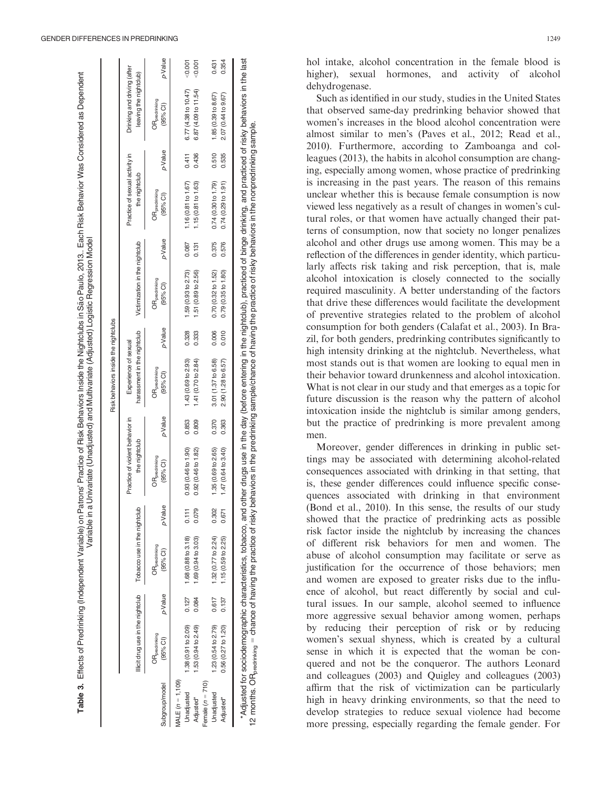|                    |                                 |         |                              |         |                                                  |         | Risk behaviors inside the nightclubs                |         |                                |         |                                                 |         |                                                       |          |
|--------------------|---------------------------------|---------|------------------------------|---------|--------------------------------------------------|---------|-----------------------------------------------------|---------|--------------------------------|---------|-------------------------------------------------|---------|-------------------------------------------------------|----------|
|                    | liidt drug use in the nightclub |         | Tobacco use in the nightclub |         | Practice of violent behavior in<br>the nightclub |         | harassment in the nightclub<br>Experience of sexual |         | Victimization in the nightclub |         | Practice of sexual activity in<br>the night dub |         | Drinking and driving (after<br>leaving the nightclub) |          |
| Subgroup/model     | ORpredrinking<br>(95% Cl)       | p-Value | ORpredrinking<br>(95% Cl)    | p-Value | ORpredrinking<br>$(95%$ CI)                      | p-Value | ORpredrinking<br>$(95%$ CI)                         | p-Value | ORpredrinking<br>(95% Cl)      | p-Value | ORpredrinking<br>(95% Cl)                       | p-Value | ORpredrinking<br>$(95%$ Cl)                           | p-Value  |
| $MLE (n = 1, 109)$ |                                 |         |                              |         |                                                  |         |                                                     |         |                                |         |                                                 |         |                                                       |          |
| Unadjusted         | 1.38 (0.91 to 2.09)             | 0.127   | 1.68 (0.88 to 3.18)          | 0.111   | 0.93 (0.46 to 1.90)                              | 0.853   | 1.43 (0.69 to 2.93)                                 | 0.328   | 1.59 (0.93 to 2.73)            | 0.087   | 1.16 (0.81 to 1.67)                             | 0.411   | 6.77 (4.38 to 10.47)                                  | $-0.001$ |
| Adjusted*          | 1.53 (0.94 to 2.49)             | 0.084   | 1.69 (0.94 to 3.03)          | 0.079   | 0.92 (0.46 to 1.82)                              | 0.809   | 1.41 (0.70 to 2.84)                                 | 0.333   | 1.51(0.89 to 2.56)             | 0.131   | 1.15 (0.81 to 1.63)                             | 0.436   | 6.87 (4.09 to 11.54)                                  | 0.001    |
| Female $(n = 710)$ |                                 |         |                              |         |                                                  |         |                                                     |         |                                |         |                                                 |         |                                                       |          |
| Unadjusted         | 1.23 (0.54 to 2.79)             | 0.617   | $1.32(0.77$ to $2.24)$       | 0.302   | 1.35 (0.69 to 2.65)                              | 0.370   | 3.01 (1.37 to 6.58)                                 | 0.006   | 0.70 (0.32 to 1.52)            | 0.375   | 0.74(0.30 to 1.79)                              | 0.510   | 1.85(0.39 to 8.67)                                    | 0.431    |
| Adjusted*          | 0.56(0.27 to 1.20)              | 0.137   | 1.15 (0.59 to 2.25)          | 0.671   | 1.47 (0.64 to 3.40)                              | 0.363   | 2.90 (1.28 to 6.57)                                 | 0.010   | 0.79(0.35 to 1.80)             | 0.576   | 0.74(0.29 to 1.91)                              | 0.535   | 2.07 (0.44 to 9.67)                                   | 0.354    |
|                    |                                 |         |                              |         |                                                  |         |                                                     |         |                                |         |                                                 |         |                                                       |          |

\*Adjusted for sociodemographic characteristics, tobacco, and other drugs use in the day (before entering in the nightclub), practiced of binge drinking, and practiced of risky behaviors in the last

\*Adjusted for sociodemographic characteristics, tobacco, and other drugs use in the day (before entering in the nightclub), practiced of binge drinking, and practiced of risky behaviors in the last<br>? months. OR<sub>predinking</sub>

12 months. OR<sub>predrinking</sub> = chance of having the practice of risky behaviors in the predrinking sample/chance of having the practice of risky behaviors in the nonpredrinking sample

12 months. OR<sub>predrinking</sub> = chance of having the practice of

Table 3. Effects of Predrinking (Independent Variable) on Patrons' Practice of Risk Behaviors Inside the Nightclubs in São Paulo, 2013. Each Risk Behavior Was Considered as Dependent Variable in a Univariate (Unadjusted) and Multivariate (Adjusted) Logistic Regression Model

Table 3. Effects of Predrinking (Independent Variable) on Patrons' Practice of Risk Behaviors Inside the Nightclubs in São Paulo, 2013. Each Risk Behavior Was Considered as Dependent Variable in a Univariate (Unadjusted) and Multivariate (Adjusted) Logistic Regression Model hol intake, alcohol concentration in the female blood is higher), sexual hormones, and activity of alcohol dehydrogenase.

Such as identified in our study, studies in the United States that observed same-day predrinking behavior showed that women's increases in the blood alcohol concentration were almost similar to men's (Paves et al., 2012; Read et al., 2010). Furthermore, according to Zamboanga and colleagues (2013), the habits in alcohol consumption are changing, especially among women, whose practice of predrinking is increasing in the past years. The reason of this remains unclear whether this is because female consumption is now viewed less negatively as a result of changes in women's cultural roles, or that women have actually changed their patterns of consumption, now that society no longer penalizes alcohol and other drugs use among women. This may be a reflection of the differences in gender identity, which particularly affects risk taking and risk perception, that is, male alcohol intoxication is closely connected to the socially required masculinity. A better understanding of the factors that drive these differences would facilitate the development of preventive strategies related to the problem of alcohol consumption for both genders (Calafat et al., 2003). In Brazil, for both genders, predrinking contributes significantly to high intensity drinking at the nightclub. Nevertheless, what most stands out is that women are looking to equal men in their behavior toward drunkenness and alcohol intoxication. What is not clear in our study and that emerges as a topic for future discussion is the reason why the pattern of alcohol intoxication inside the nightclub is similar among genders, but the practice of predrinking is more prevalent among men.

Moreover, gender differences in drinking in public settings may be associated with determining alcohol-related consequences associated with drinking in that setting, that is, these gender differences could influence specific consequences associated with drinking in that environment (Bond et al., 2010). In this sense, the results of our study showed that the practice of predrinking acts as possible risk factor inside the nightclub by increasing the chances of different risk behaviors for men and women. The abuse of alcohol consumption may facilitate or serve as justification for the occurrence of those behaviors; men and women are exposed to greater risks due to the influence of alcohol, but react differently by social and cultural issues. In our sample, alcohol seemed to influence more aggressive sexual behavior among women, perhaps by reducing their perception of risk or by reducing women's sexual shyness, which is created by a cultural sense in which it is expected that the woman be conquered and not be the conqueror. The authors Leonard and colleagues (2003) and Quigley and colleagues (2003) affirm that the risk of victimization can be particularly high in heavy drinking environments, so that the need to develop strategies to reduce sexual violence had become more pressing, especially regarding the female gender. For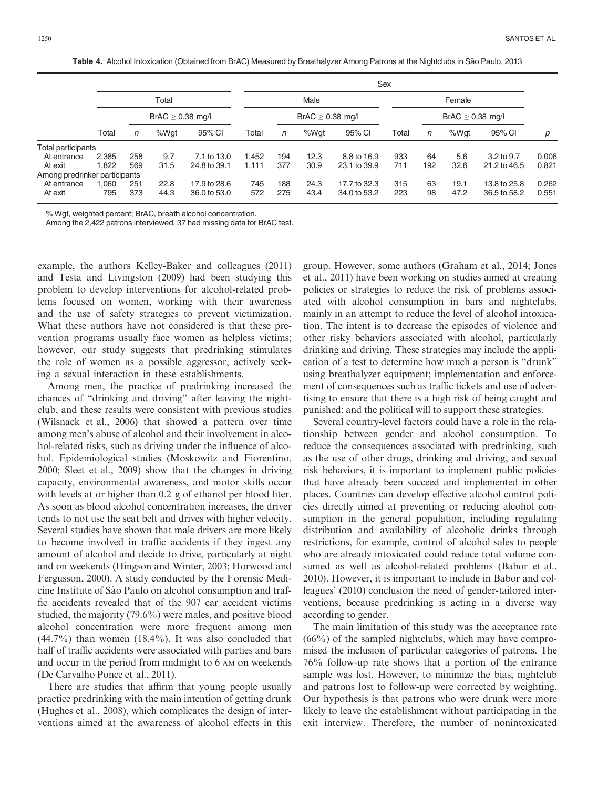| р                     |
|-----------------------|
|                       |
| 0.006<br>3.2 to 9.7   |
| 0.821<br>21.2 to 46.5 |
|                       |
| 0.262<br>13.8 to 25.8 |
| 0.551<br>36.5 to 58.2 |
| 95% CI                |

Table 4. Alcohol Intoxication (Obtained from BrAC) Measured by Breathalyzer Among Patrons at the Nightclubs in São Paulo, 2013

% Wgt, weighted percent; BrAC, breath alcohol concentration.

Among the 2,422 patrons interviewed, 37 had missing data for BrAC test.

example, the authors Kelley-Baker and colleagues (2011) and Testa and Livingston (2009) had been studying this problem to develop interventions for alcohol-related problems focused on women, working with their awareness and the use of safety strategies to prevent victimization. What these authors have not considered is that these prevention programs usually face women as helpless victims; however, our study suggests that predrinking stimulates the role of women as a possible aggressor, actively seeking a sexual interaction in these establishments.

Among men, the practice of predrinking increased the chances of "drinking and driving" after leaving the nightclub, and these results were consistent with previous studies (Wilsnack et al., 2006) that showed a pattern over time among men's abuse of alcohol and their involvement in alcohol-related risks, such as driving under the influence of alcohol. Epidemiological studies (Moskowitz and Fiorentino, 2000; Sleet et al., 2009) show that the changes in driving capacity, environmental awareness, and motor skills occur with levels at or higher than 0.2 g of ethanol per blood liter. As soon as blood alcohol concentration increases, the driver tends to not use the seat belt and drives with higher velocity. Several studies have shown that male drivers are more likely to become involved in traffic accidents if they ingest any amount of alcohol and decide to drive, particularly at night and on weekends (Hingson and Winter, 2003; Horwood and Fergusson, 2000). A study conducted by the Forensic Medicine Institute of São Paulo on alcohol consumption and traffic accidents revealed that of the 907 car accident victims studied, the majority (79.6%) were males, and positive blood alcohol concentration were more frequent among men  $(44.7%)$  than women  $(18.4%)$ . It was also concluded that half of traffic accidents were associated with parties and bars and occur in the period from midnight to 6 AM on weekends (De Carvalho Ponce et al., 2011).

There are studies that affirm that young people usually practice predrinking with the main intention of getting drunk (Hughes et al., 2008), which complicates the design of interventions aimed at the awareness of alcohol effects in this

group. However, some authors (Graham et al., 2014; Jones et al., 2011) have been working on studies aimed at creating policies or strategies to reduce the risk of problems associated with alcohol consumption in bars and nightclubs, mainly in an attempt to reduce the level of alcohol intoxication. The intent is to decrease the episodes of violence and other risky behaviors associated with alcohol, particularly drinking and driving. These strategies may include the application of a test to determine how much a person is "drunk" using breathalyzer equipment; implementation and enforcement of consequences such as traffic tickets and use of advertising to ensure that there is a high risk of being caught and punished; and the political will to support these strategies.

Several country-level factors could have a role in the relationship between gender and alcohol consumption. To reduce the consequences associated with predrinking, such as the use of other drugs, drinking and driving, and sexual risk behaviors, it is important to implement public policies that have already been succeed and implemented in other places. Countries can develop effective alcohol control policies directly aimed at preventing or reducing alcohol consumption in the general population, including regulating distribution and availability of alcoholic drinks through restrictions, for example, control of alcohol sales to people who are already intoxicated could reduce total volume consumed as well as alcohol-related problems (Babor et al., 2010). However, it is important to include in Babor and colleagues' (2010) conclusion the need of gender-tailored interventions, because predrinking is acting in a diverse way according to gender.

The main limitation of this study was the acceptance rate (66%) of the sampled nightclubs, which may have compromised the inclusion of particular categories of patrons. The 76% follow-up rate shows that a portion of the entrance sample was lost. However, to minimize the bias, nightclub and patrons lost to follow-up were corrected by weighting. Our hypothesis is that patrons who were drunk were more likely to leave the establishment without participating in the exit interview. Therefore, the number of nonintoxicated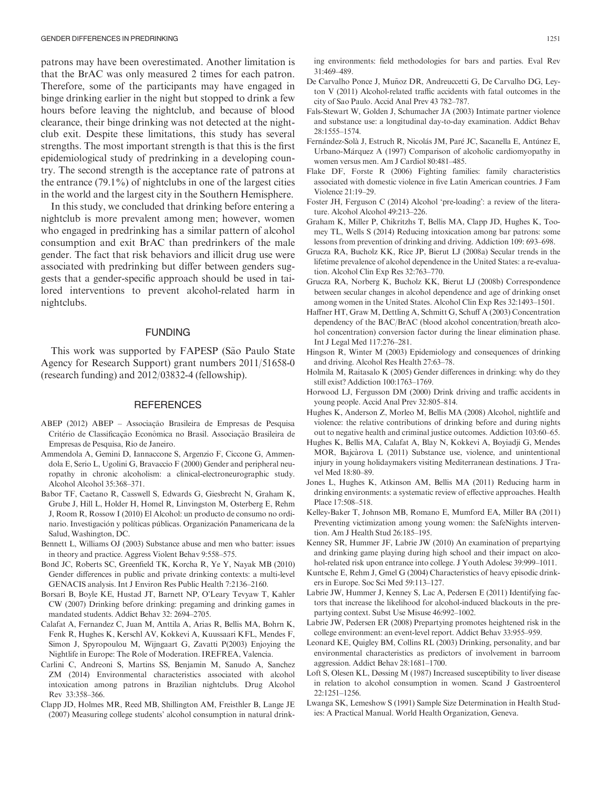patrons may have been overestimated. Another limitation is that the BrAC was only measured 2 times for each patron. Therefore, some of the participants may have engaged in binge drinking earlier in the night but stopped to drink a few hours before leaving the nightclub, and because of blood clearance, their binge drinking was not detected at the nightclub exit. Despite these limitations, this study has several strengths. The most important strength is that this is the first epidemiological study of predrinking in a developing country. The second strength is the acceptance rate of patrons at the entrance  $(79.1\%)$  of nightclubs in one of the largest cities in the world and the largest city in the Southern Hemisphere.

In this study, we concluded that drinking before entering a nightclub is more prevalent among men; however, women who engaged in predrinking has a similar pattern of alcohol consumption and exit BrAC than predrinkers of the male gender. The fact that risk behaviors and illicit drug use were associated with predrinking but differ between genders suggests that a gender-specific approach should be used in tailored interventions to prevent alcohol-related harm in nightclubs.

### FUNDING

This work was supported by FAPESP (São Paulo State Agency for Research Support) grant numbers 2011/51658-0 (research funding) and 2012/03832-4 (fellowship).

## **REFERENCES**

- ABEP (2012) ABEP Associação Brasileira de Empresas de Pesquisa Critério de Classificação Econômica no Brasil. Associação Brasileira de Empresas de Pesquisa, Rio de Janeiro.
- Ammendola A, Gemini D, Iannaccone S, Argenzio F, Ciccone G, Ammendola E, Serio L, Ugolini G, Bravaccio F (2000) Gender and peripheral neuropathy in chronic alcoholism: a clinical-electroneurographic study. Alcohol Alcohol 35:368–371.
- Babor TF, Caetano R, Casswell S, Edwards G, Giesbrecht N, Graham K, Grube J, Hill L, Holder H, Homel R, Linvingston M, Osterberg E, Rehm J, Room R, Rossow I (2010) El Alcohol: un producto de consumo no ordinario. Investigación y políticas públicas. Organización Panamericana de la Salud, Washington, DC.
- Bennett L, Williams OJ (2003) Substance abuse and men who batter: issues in theory and practice. Aggress Violent Behav 9:558–575.
- Bond JC, Roberts SC, Greenfield TK, Korcha R, Ye Y, Nayak MB (2010) Gender differences in public and private drinking contexts: a multi-level GENACIS analysis. Int J Environ Res Public Health 7:2136–2160.
- Borsari B, Boyle KE, Hustad JT, Barnett NP, O'Leary Tevyaw T, Kahler CW (2007) Drinking before drinking: pregaming and drinking games in mandated students. Addict Behav 32: 2694–2705.
- Calafat A, Fernandez C, Juan M, Anttila A, Arias R, Bellis MA, Bohrn K, Fenk R, Hughes K, Kerschl AV, Kokkevi A, Kuussaari KFL, Mendes F, Simon J, Spyropoulou M, Wijngaart G, Zavatti P(2003) Enjoying the Nightlife in Europe: The Role of Moderation. IREFREA, Valencia.
- Carlini C, Andreoni S, Martins SS, Benjamin M, Sanudo A, Sanchez ZM (2014) Environmental characteristics associated with alcohol intoxication among patrons in Brazilian nightclubs. Drug Alcohol Rev 33:358–366.
- Clapp JD, Holmes MR, Reed MB, Shillington AM, Freisthler B, Lange JE (2007) Measuring college students' alcohol consumption in natural drink-

ing environments: field methodologies for bars and parties. Eval Rev 31:469–489.

- De Carvalho Ponce J, Muñoz DR, Andreuccetti G, De Carvalho DG, Leyton V (2011) Alcohol-related traffic accidents with fatal outcomes in the city of Sao Paulo. Accid Anal Prev 43 782–787.
- Fals-Stewart W, Golden J, Schumacher JA (2003) Intimate partner violence and substance use: a longitudinal day-to-day examination. Addict Behav 28:1555–1574.
- Fernández-Solà J, Estruch R, Nicolás JM, Paré JC, Sacanella E, Antúnez E, Urbano-Márquez A (1997) Comparison of alcoholic cardiomyopathy in women versus men. Am J Cardiol 80:481–485.
- Flake DF, Forste R (2006) Fighting families: family characteristics associated with domestic violence in five Latin American countries. J Fam Violence 21:19–29.
- Foster JH, Ferguson C (2014) Alcohol 'pre-loading': a review of the literature. Alcohol Alcohol 49:213–226.
- Graham K, Miller P, Chikritzhs T, Bellis MA, Clapp JD, Hughes K, Toomey TL, Wells S (2014) Reducing intoxication among bar patrons: some lessons from prevention of drinking and driving. Addiction 109: 693–698.
- Grucza RA, Bucholz KK, Rice JP, Bierut LJ (2008a) Secular trends in the lifetime prevalence of alcohol dependence in the United States: a re-evaluation. Alcohol Clin Exp Res 32:763–770.
- Grucza RA, Norberg K, Bucholz KK, Bierut LJ (2008b) Correspondence between secular changes in alcohol dependence and age of drinking onset among women in the United States. Alcohol Clin Exp Res 32:1493–1501.
- Haffner HT, Graw M, Dettling A, Schmitt G, Schuff A (2003) Concentration dependency of the BAC/BrAC (blood alcohol concentration/breath alcohol concentration) conversion factor during the linear elimination phase. Int J Legal Med 117:276–281.
- Hingson R, Winter M (2003) Epidemiology and consequences of drinking and driving. Alcohol Res Health 27:63–78.
- Holmila M, Raitasalo K (2005) Gender differences in drinking: why do they still exist? Addiction 100:1763–1769.
- Horwood LJ, Fergusson DM (2000) Drink driving and traffic accidents in young people. Accid Anal Prev 32:805–814.
- Hughes K, Anderson Z, Morleo M, Bellis MA (2008) Alcohol, nightlife and violence: the relative contributions of drinking before and during nights out to negative health and criminal justice outcomes. Addiction 103:60–65.
- Hughes K, Bellis MA, Calafat A, Blay N, Kokkevi A, Boyiadji G, Mendes MOR, Bajcarova L (2011) Substance use, violence, and unintentional injury in young holidaymakers visiting Mediterranean destinations. J Travel Med 18:80–89.
- Jones L, Hughes K, Atkinson AM, Bellis MA (2011) Reducing harm in drinking environments: a systematic review of effective approaches. Health Place 17:508–518.
- Kelley-Baker T, Johnson MB, Romano E, Mumford EA, Miller BA (2011) Preventing victimization among young women: the SafeNights intervention. Am J Health Stud 26:185–195.
- Kenney SR, Hummer JF, Labrie JW (2010) An examination of prepartying and drinking game playing during high school and their impact on alcohol-related risk upon entrance into college. J Youth Adolesc 39:999–1011.
- Kuntsche E, Rehm J, Gmel G (2004) Characteristics of heavy episodic drinkers in Europe. Soc Sci Med 59:113–127.
- Labrie JW, Hummer J, Kenney S, Lac A, Pedersen E (2011) Identifying factors that increase the likelihood for alcohol-induced blackouts in the prepartying context. Subst Use Misuse 46:992–1002.
- Labrie JW, Pedersen ER (2008) Prepartying promotes heightened risk in the college environment: an event-level report. Addict Behav 33:955–959.
- Leonard KE, Quigley BM, Collins RL (2003) Drinking, personality, and bar environmental characteristics as predictors of involvement in barroom aggression. Addict Behav 28:1681–1700.
- Loft S, Olesen KL, Døssing M (1987) Increased susceptibility to liver disease in relation to alcohol consumption in women. Scand J Gastroenterol 22:1251–1256.
- Lwanga SK, Lemeshow S (1991) Sample Size Determination in Health Studies: A Practical Manual. World Health Organization, Geneva.